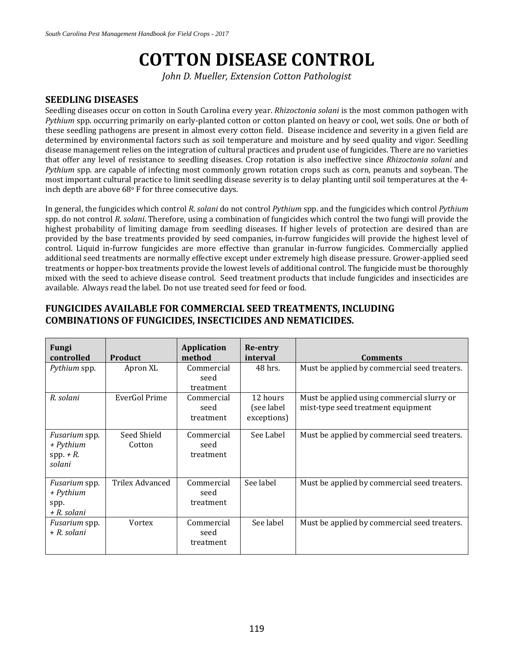# **COTTON DISEASE CONTROL**

*John D. Mueller, Extension Cotton Pathologist*

#### **SEEDLING DISEASES**

Seedling diseases occur on cotton in South Carolina every year. *Rhizoctonia solani* is the most common pathogen with *Pythium* spp. occurring primarily on early-planted cotton or cotton planted on heavy or cool, wet soils. One or both of these seedling pathogens are present in almost every cotton field. Disease incidence and severity in a given field are determined by environmental factors such as soil temperature and moisture and by seed quality and vigor. Seedling disease management relies on the integration of cultural practices and prudent use of fungicides. There are no varieties that offer any level of resistance to seedling diseases. Crop rotation is also ineffective since *Rhizoctonia solani* and *Pythium* spp. are capable of infecting most commonly grown rotation crops such as corn, peanuts and soybean. The most important cultural practice to limit seedling disease severity is to delay planting until soil temperatures at the 4inch depth are above  $68^\circ$  F for three consecutive days.

In general, the fungicides which control *R*. *solani* do not control *Pythium* spp. and the fungicides which control *Pythium* spp. do not control *R. solani*. Therefore, using a combination of fungicides which control the two fungi will provide the highest probability of limiting damage from seedling diseases. If higher levels of protection are desired than are provided by the base treatments provided by seed companies, in-furrow fungicides will provide the highest level of control. Liquid in-furrow fungicides are more effective than granular in-furrow fungicides. Commercially applied additional seed treatments are normally effective except under extremely high disease pressure. Grower-applied seed treatments or hopper-box treatments provide the lowest levels of additional control. The fungicide must be thoroughly mixed with the seed to achieve disease control. Seed treatment products that include fungicides and insecticides are available. Always read the label. Do not use treated seed for feed or food.

| Fungi<br>controlled                                        | <b>Product</b>         | Application<br>method           | Re-entry<br>interval                   | <b>Comments</b>                                                                  |
|------------------------------------------------------------|------------------------|---------------------------------|----------------------------------------|----------------------------------------------------------------------------------|
| Pythium spp.                                               | Apron XL               | Commercial<br>seed<br>treatment | 48 hrs.                                | Must be applied by commercial seed treaters.                                     |
| R. solani                                                  | EverGol Prime          | Commercial<br>seed<br>treatment | 12 hours<br>(see label)<br>exceptions) | Must be applied using commercial slurry or<br>mist-type seed treatment equipment |
| <i>Fusarium</i> spp.<br>+ Pythium<br>$spp. + R.$<br>solani | Seed Shield<br>Cotton  | Commercial<br>seed<br>treatment | See Label                              | Must be applied by commercial seed treaters.                                     |
| <i>Fusarium</i> spp.<br>+ Pythium<br>spp.<br>+ R. solani   | <b>Trilex Advanced</b> | Commercial<br>seed<br>treatment | See label                              | Must be applied by commercial seed treaters.                                     |
| <i>Fusarium</i> spp.<br>+ R. solani                        | Vortex                 | Commercial<br>seed<br>treatment | See label                              | Must be applied by commercial seed treaters.                                     |

#### **FUNGICIDES AVAILABLE FOR COMMERCIAL SEED TREATMENTS, INCLUDING COMBINATIONS OF FUNGICIDES, INSECTICIDES AND NEMATICIDES.**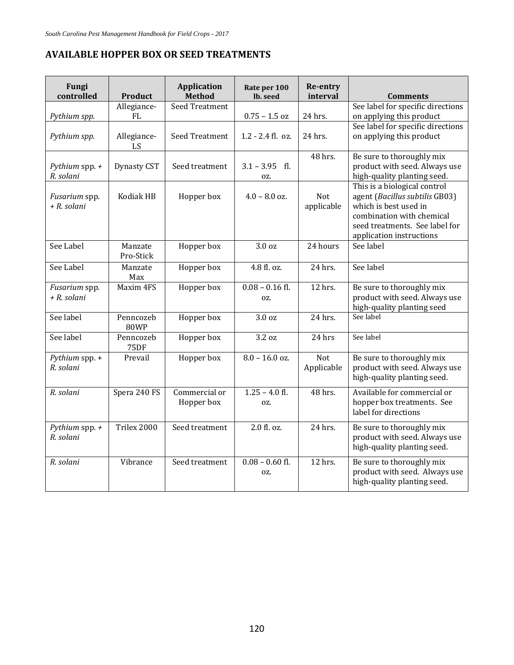## **AVAILABLE HOPPER BOX OR SEED TREATMENTS**

| Fungi<br>controlled           | <b>Product</b>           | <b>Application</b><br><b>Method</b> | Rate per 100<br>lb. seed   | <b>Re-entry</b><br>interval | <b>Comments</b>                                                                                                                                                                    |
|-------------------------------|--------------------------|-------------------------------------|----------------------------|-----------------------------|------------------------------------------------------------------------------------------------------------------------------------------------------------------------------------|
|                               | Allegiance-              | <b>Seed Treatment</b>               |                            |                             | See label for specific directions                                                                                                                                                  |
| Pythium spp.                  | FL                       |                                     | $0.75$ – $1.5~\mathrm{oz}$ | 24 hrs.                     | on applying this product                                                                                                                                                           |
| Pythium spp.                  | Allegiance-<br>LS        | Seed Treatment                      | $1.2 - 2.4$ fl. oz.        | 24 hrs.                     | See label for specific directions<br>on applying this product                                                                                                                      |
| Pythium spp. $+$<br>R. solani | <b>Dynasty CST</b>       | Seed treatment                      | $3.1 - 3.95$ fl.<br>OZ.    | 48 hrs.                     | Be sure to thoroughly mix<br>product with seed. Always use<br>high-quality planting seed.                                                                                          |
| Fusarium spp.<br>+ R. solani  | Kodiak HB                | Hopper box                          | $4.0 - 8.0$ oz.            | <b>Not</b><br>applicable    | This is a biological control<br>agent (Bacillus subtilis GB03)<br>which is best used in<br>combination with chemical<br>seed treatments. See label for<br>application instructions |
| See Label                     | Manzate<br>Pro-Stick     | Hopper box                          | 3.0 <sub>oz</sub>          | 24 hours                    | See label                                                                                                                                                                          |
| See Label                     | Manzate<br>Max           | Hopper box                          | 4.8 fl. oz.                | 24 hrs.                     | See label                                                                                                                                                                          |
| Fusarium spp.<br>+ R. solani  | Maxim 4FS                | Hopper box                          | $0.08 - 0.16$ fl.<br>OZ.   | 12 hrs.                     | Be sure to thoroughly mix<br>product with seed. Always use<br>high-quality planting seed                                                                                           |
| See label                     | Penncozeb<br><b>80WP</b> | Hopper box                          | 3.0 <sub>oz</sub>          | 24 hrs.                     | See label                                                                                                                                                                          |
| See label                     | Penncozeb<br><b>75DF</b> | Hopper box                          | 3.2 oz                     | 24 hrs                      | See label                                                                                                                                                                          |
| Pythium spp. +<br>R. solani   | Prevail                  | Hopper box                          | $8.0 - 16.0$ oz.           | <b>Not</b><br>Applicable    | Be sure to thoroughly mix<br>product with seed. Always use<br>high-quality planting seed.                                                                                          |
| R. solani                     | Spera 240 FS             | Commercial or<br>Hopper box         | $1.25 - 4.0$ fl.<br>OZ.    | 48 hrs.                     | Available for commercial or<br>hopper box treatments. See<br>label for directions                                                                                                  |
| Pythium spp. $+$<br>R. solani | Trilex 2000              | Seed treatment                      | 2.0 fl. oz.                | 24 hrs.                     | Be sure to thoroughly mix<br>product with seed. Always use<br>high-quality planting seed.                                                                                          |
| R. solani                     | Vibrance                 | Seed treatment                      | $0.08 - 0.60$ fl.<br>OZ.   | 12 hrs.                     | Be sure to thoroughly mix<br>product with seed. Always use<br>high-quality planting seed.                                                                                          |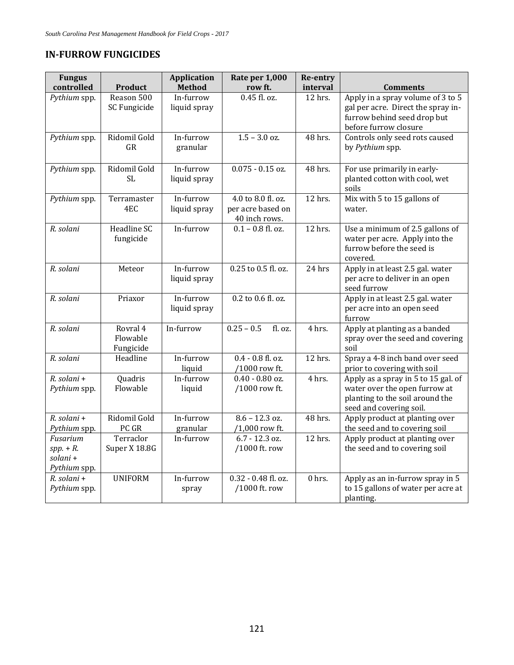### **IN‐FURROW FUNGICIDES**

| <b>Fungus</b>                                      |                                   | <b>Application</b>        | Rate per 1,000                                           | Re-entry |                                                                                                                                    |
|----------------------------------------------------|-----------------------------------|---------------------------|----------------------------------------------------------|----------|------------------------------------------------------------------------------------------------------------------------------------|
| controlled                                         | <b>Product</b>                    | <b>Method</b>             | row ft.<br>0.45 fl. oz.                                  | interval | <b>Comments</b>                                                                                                                    |
| Pythium spp.                                       | Reason 500<br>SC Fungicide        | In-furrow<br>liquid spray |                                                          | 12 hrs.  | Apply in a spray volume of 3 to 5<br>gal per acre. Direct the spray in-<br>furrow behind seed drop but<br>before furrow closure    |
| Pythium spp.                                       | Ridomil Gold<br>GR                | In-furrow<br>granular     | $1.5 - 3.0$ oz.                                          | 48 hrs.  | Controls only seed rots caused<br>by Pythium spp.                                                                                  |
| Pythium spp.                                       | Ridomil Gold<br><b>SL</b>         | In-furrow<br>liquid spray | $0.075 - 0.15$ oz.                                       | 48 hrs.  | For use primarily in early-<br>planted cotton with cool, wet<br>soils                                                              |
| Pythium spp.                                       | Terramaster<br>4EC                | In-furrow<br>liquid spray | 4.0 to 8.0 fl. oz.<br>per acre based on<br>40 inch rows. | 12 hrs.  | Mix with 5 to 15 gallons of<br>water.                                                                                              |
| R. solani                                          | Headline SC<br>fungicide          | In-furrow                 | $0.1 - 0.8$ fl. oz.                                      | 12 hrs.  | Use a minimum of 2.5 gallons of<br>water per acre. Apply into the<br>furrow before the seed is<br>covered.                         |
| R. solani                                          | Meteor                            | In-furrow<br>liquid spray | 0.25 to 0.5 fl. oz.                                      | 24 hrs   | Apply in at least 2.5 gal. water<br>per acre to deliver in an open<br>seed furrow                                                  |
| R. solani                                          | Priaxor                           | In-furrow<br>liquid spray | 0.2 to 0.6 fl. oz.                                       |          | Apply in at least 2.5 gal. water<br>per acre into an open seed<br>furrow                                                           |
| R. solani                                          | Rovral 4<br>Flowable<br>Fungicide | In-furrow                 | $0.25 - 0.5$<br>fl. oz.                                  | 4 hrs.   | Apply at planting as a banded<br>spray over the seed and covering<br>soil                                                          |
| R. solani                                          | Headline                          | In-furrow<br>liquid       | 0.4 - 0.8 fl. oz.<br>/1000 row ft.                       | 12 hrs.  | Spray a 4-8 inch band over seed<br>prior to covering with soil                                                                     |
| R. solani +<br>Pythium spp.                        | Quadris<br>Flowable               | In-furrow<br>liquid       | $0.40 - 0.80$ oz.<br>/1000 row ft.                       | 4 hrs.   | Apply as a spray in 5 to 15 gal. of<br>water over the open furrow at<br>planting to the soil around the<br>seed and covering soil. |
| R. solani +                                        | Ridomil Gold                      | In-furrow                 | $8.6 - 12.3$ oz.                                         | 48 hrs.  | Apply product at planting over                                                                                                     |
| Pythium spp.                                       | PC GR                             | granular                  | /1,000 row ft.                                           |          | the seed and to covering soil                                                                                                      |
| Fusarium<br>$spp. + R.$<br>solani+<br>Pythium spp. | Terraclor<br>Super X 18.8G        | In-furrow                 | 6.7 - 12.3 oz.<br>/1000 ft. row                          | 12 hrs.  | Apply product at planting over<br>the seed and to covering soil                                                                    |
| R. solani +<br>Pythium spp.                        | <b>UNIFORM</b>                    | In-furrow<br>spray        | 0.32 - 0.48 fl. oz.<br>/1000 ft. row                     | $0$ hrs. | Apply as an in-furrow spray in 5<br>to 15 gallons of water per acre at<br>planting.                                                |